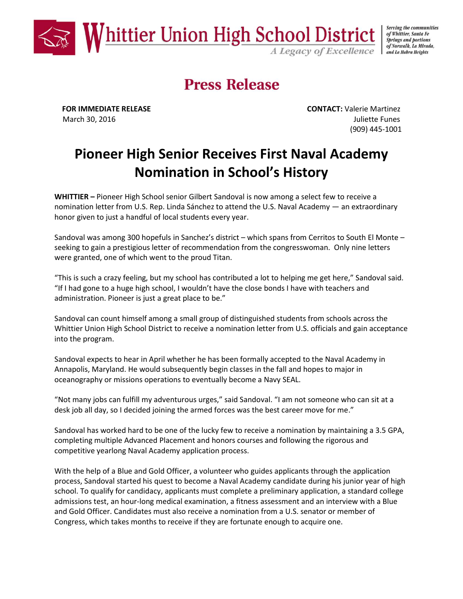

Serving the communities of Whittier, Santa Fe **Springs and portions** of Norwalk, La Mirada,

## **Press Release**

**FOR IMMEDIATE RELEASE CONTACT:** Valerie Martinez March 30, 2016 **Juliette Funes Juliette Funes** (909) 445-1001

## **Pioneer High Senior Receives First Naval Academy Nomination in School's History**

**WHITTIER –** Pioneer High School senior Gilbert Sandoval is now among a select few to receive a nomination letter from U.S. Rep. Linda Sánchez to attend the U.S. Naval Academy — an extraordinary honor given to just a handful of local students every year.

Sandoval was among 300 hopefuls in Sanchez's district – which spans from Cerritos to South El Monte – seeking to gain a prestigious letter of recommendation from the congresswoman. Only nine letters were granted, one of which went to the proud Titan.

"This is such a crazy feeling, but my school has contributed a lot to helping me get here," Sandoval said. "If I had gone to a huge high school, I wouldn't have the close bonds I have with teachers and administration. Pioneer is just a great place to be."

Sandoval can count himself among a small group of distinguished students from schools across the Whittier Union High School District to receive a nomination letter from U.S. officials and gain acceptance into the program.

Sandoval expects to hear in April whether he has been formally accepted to the Naval Academy in Annapolis, Maryland. He would subsequently begin classes in the fall and hopes to major in oceanography or missions operations to eventually become a Navy SEAL.

"Not many jobs can fulfill my adventurous urges," said Sandoval. "I am not someone who can sit at a desk job all day, so I decided joining the armed forces was the best career move for me."

Sandoval has worked hard to be one of the lucky few to receive a nomination by maintaining a 3.5 GPA, completing multiple Advanced Placement and honors courses and following the rigorous and competitive yearlong Naval Academy application process.

With the help of a Blue and Gold Officer, a volunteer who guides applicants through the application process, Sandoval started his quest to become a Naval Academy candidate during his junior year of high school. To qualify for candidacy, applicants must complete a preliminary application, a standard college admissions test, an hour-long medical examination, a fitness assessment and an interview with a Blue and Gold Officer. Candidates must also receive a nomination from a U.S. senator or member of Congress, which takes months to receive if they are fortunate enough to acquire one.